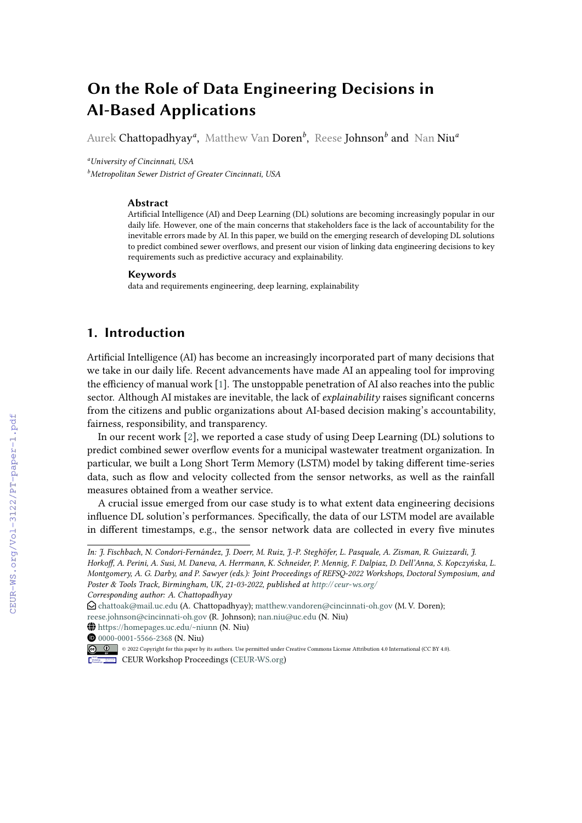# **On the Role of Data Engineering Decisions in AI-Based Applications**

Aurek Chattopadhyay*<sup>a</sup>* , Matthew Van Doren*<sup>b</sup>* , Reese Johnson*<sup>b</sup>* and Nan Niu*<sup>a</sup>*

*<sup>a</sup>University of Cincinnati, USA*

*<sup>b</sup>Metropolitan Sewer District of Greater Cincinnati, USA*

#### **Abstract**

Artificial Intelligence (AI) and Deep Learning (DL) solutions are becoming increasingly popular in our daily life. However, one of the main concerns that stakeholders face is the lack of accountability for the inevitable errors made by AI. In this paper, we build on the emerging research of developing DL solutions to predict combined sewer overflows, and present our vision of linking data engineering decisions to key requirements such as predictive accuracy and explainability.

#### **Keywords**

data and requirements engineering, deep learning, explainability

### **1. Introduction**

Artificial Intelligence (AI) has become an increasingly incorporated part of many decisions that we take in our daily life. Recent advancements have made AI an appealing tool for improving the efficiency of manual work [\[1\]](#page--1-0). The unstoppable penetration of AI also reaches into the public sector. Although AI mistakes are inevitable, the lack of *explainability* raises significant concerns from the citizens and public organizations about AI-based decision making's accountability, fairness, responsibility, and transparency.

In our recent work [\[2\]](#page--1-1), we reported a case study of using Deep Learning (DL) solutions to predict combined sewer overflow events for a municipal wastewater treatment organization. In particular, we built a Long Short Term Memory (LSTM) model by taking different time-series data, such as flow and velocity collected from the sensor networks, as well as the rainfall measures obtained from a weather service.

A crucial issue emerged from our case study is to what extent data engineering decisions influence DL solution's performances. Specifically, the data of our LSTM model are available in different timestamps, e.g., the sensor network data are collected in every five minutes

*In: J. Fischbach, N. Condori-Fernández, J. Doerr, M. Ruiz, J.-P. Steghöfer, L. Pasquale, A. Zisman, R. Guizzardi, J.*

*Horkoff, A. Perini, A. Susi, M. Daneva, A. Herrmann, K. Schneider, P. Mennig, F. Dalpiaz, D. Dell'Anna, S. Kopczyńska, L. Montgomery, A. G. Darby, and P. Sawyer (eds.): Joint Proceedings of REFSQ-2022 Workshops, Doctoral Symposium, and Poster & Tools Track, Birmingham, UK, 21-03-2022, published at [http:// ceur-ws.org/](http://ceur-ws.org/)*

*Corresponding author: A. Chattopadhyay*

 $\bigcirc$  [chattoak@mail.uc.edu](mailto:chattoak@mail.uc.edu) (A. Chattopadhyay); [matthew.vandoren@cincinnati-oh.gov](mailto:matthew.vandoren@cincinnati-oh.gov) (M. V. Doren); [reese.johnson@cincinnati-oh.gov](mailto:reese.johnson@cincinnati-oh.gov) (R. Johnson); [nan.niu@uc.edu](mailto:nan.niu@uc.edu) (N. Niu)

 $\bigcirc$  <https://homepages.uc.edu/~niunn> (N. Niu)

 $\bullet$  [0000-0001-5566-2368](https://orcid.org/0000-0001-5566-2368) (N. Niu)

<sup>© 2022</sup> Copyright for this paper by its authors. Use permitted under Creative Commons License Attribution 4.0 International (CC BY 4.0). CEUR Workshop [Proceedings](http://ceur-ws.org) [\(CEUR-WS.org\)](http://ceur-ws.org)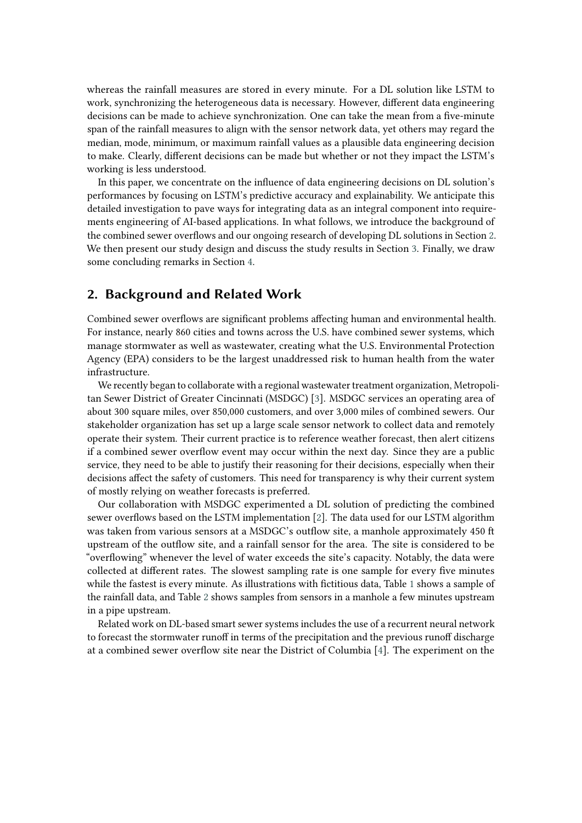whereas the rainfall measures are stored in every minute. For a DL solution like LSTM to work, synchronizing the heterogeneous data is necessary. However, different data engineering decisions can be made to achieve synchronization. One can take the mean from a five-minute span of the rainfall measures to align with the sensor network data, yet others may regard the median, mode, minimum, or maximum rainfall values as a plausible data engineering decision to make. Clearly, different decisions can be made but whether or not they impact the LSTM's working is less understood.

In this paper, we concentrate on the influence of data engineering decisions on DL solution's performances by focusing on LSTM's predictive accuracy and explainability. We anticipate this detailed investigation to pave ways for integrating data as an integral component into requirements engineering of AI-based applications. In what follows, we introduce the background of the combined sewer overflows and our ongoing research of developing DL solutions in Section [2.](#page-1-0) We then present our study design and discuss the study results in Section [3.](#page-2-0) Finally, we draw some concluding remarks in Section [4.](#page-3-0)

### <span id="page-1-0"></span>**2. Background and Related Work**

Combined sewer overflows are significant problems affecting human and environmental health. For instance, nearly 860 cities and towns across the U.S. have combined sewer systems, which manage stormwater as well as wastewater, creating what the U.S. Environmental Protection Agency (EPA) considers to be the largest unaddressed risk to human health from the water infrastructure.

We recently began to collaborate with a regional wastewater treatment organization, Metropolitan Sewer District of Greater Cincinnati (MSDGC) [\[3\]](#page-5-0). MSDGC services an operating area of about 300 square miles, over 850,000 customers, and over 3,000 miles of combined sewers. Our stakeholder organization has set up a large scale sensor network to collect data and remotely operate their system. Their current practice is to reference weather forecast, then alert citizens if a combined sewer overflow event may occur within the next day. Since they are a public service, they need to be able to justify their reasoning for their decisions, especially when their decisions affect the safety of customers. This need for transparency is why their current system of mostly relying on weather forecasts is preferred.

Our collaboration with MSDGC experimented a DL solution of predicting the combined sewer overflows based on the LSTM implementation [\[2\]](#page-5-1). The data used for our LSTM algorithm was taken from various sensors at a MSDGC's outflow site, a manhole approximately 450 ft upstream of the outflow site, and a rainfall sensor for the area. The site is considered to be "overflowing" whenever the level of water exceeds the site's capacity. Notably, the data were collected at different rates. The slowest sampling rate is one sample for every five minutes while the fastest is every minute. As illustrations with fictitious data, Table [1](#page-2-1) shows a sample of the rainfall data, and Table [2](#page-2-2) shows samples from sensors in a manhole a few minutes upstream in a pipe upstream.

Related work on DL-based smart sewer systems includes the use of a recurrent neural network to forecast the stormwater runoff in terms of the precipitation and the previous runoff discharge at a combined sewer overflow site near the District of Columbia [\[4\]](#page-5-2). The experiment on the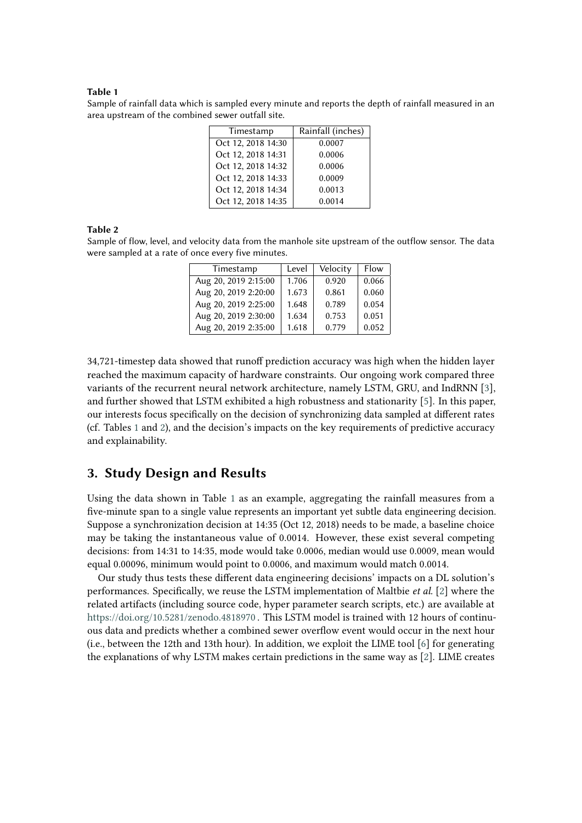#### **Table 1**

<span id="page-2-1"></span>Sample of rainfall data which is sampled every minute and reports the depth of rainfall measured in an area upstream of the combined sewer outfall site.

| Timestamp          | Rainfall (inches) |
|--------------------|-------------------|
| Oct 12, 2018 14:30 | 0.0007            |
| Oct 12, 2018 14:31 | 0.0006            |
| Oct 12, 2018 14:32 | 0.0006            |
| Oct 12, 2018 14:33 | 0.0009            |
| Oct 12, 2018 14:34 | 0.0013            |
| Oct 12, 2018 14:35 | 0.0014            |

#### **Table 2**

<span id="page-2-2"></span>Sample of flow, level, and velocity data from the manhole site upstream of the outflow sensor. The data were sampled at a rate of once every five minutes.

| Timestamp            | Level | Velocity | Flow  |
|----------------------|-------|----------|-------|
| Aug 20, 2019 2:15:00 | 1.706 | 0.920    | 0.066 |
| Aug 20, 2019 2:20:00 | 1.673 | 0.861    | 0.060 |
| Aug 20, 2019 2:25:00 | 1.648 | 0.789    | 0.054 |
| Aug 20, 2019 2:30:00 | 1.634 | 0.753    | 0.051 |
| Aug 20, 2019 2:35:00 | 1.618 | 0.779    | 0.052 |

34,721-timestep data showed that runoff prediction accuracy was high when the hidden layer reached the maximum capacity of hardware constraints. Our ongoing work compared three variants of the recurrent neural network architecture, namely LSTM, GRU, and IndRNN [\[3\]](#page-5-0), and further showed that LSTM exhibited a high robustness and stationarity [\[5\]](#page-5-3). In this paper, our interests focus specifically on the decision of synchronizing data sampled at different rates (cf. Tables [1](#page-2-1) and [2\)](#page-2-2), and the decision's impacts on the key requirements of predictive accuracy and explainability.

### <span id="page-2-0"></span>**3. Study Design and Results**

Using the data shown in Table [1](#page-2-1) as an example, aggregating the rainfall measures from a five-minute span to a single value represents an important yet subtle data engineering decision. Suppose a synchronization decision at 14:35 (Oct 12, 2018) needs to be made, a baseline choice may be taking the instantaneous value of 0.0014. However, these exist several competing decisions: from 14:31 to 14:35, mode would take 0.0006, median would use 0.0009, mean would equal 0.00096, minimum would point to 0.0006, and maximum would match 0.0014.

Our study thus tests these different data engineering decisions' impacts on a DL solution's performances. Specifically, we reuse the LSTM implementation of Maltbie *et al.* [\[2\]](#page-5-1) where the related artifacts (including source code, hyper parameter search scripts, etc.) are available at <https://doi.org/10.5281/zenodo.4818970> . This LSTM model is trained with 12 hours of continuous data and predicts whether a combined sewer overflow event would occur in the next hour (i.e., between the 12th and 13th hour). In addition, we exploit the LIME tool [\[6\]](#page-5-4) for generating the explanations of why LSTM makes certain predictions in the same way as [\[2\]](#page-5-1). LIME creates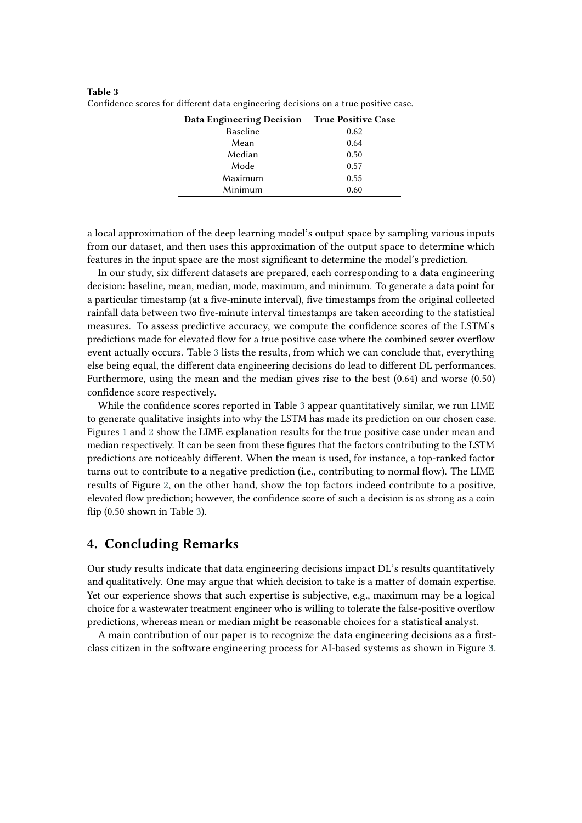| Data Engineering Decision | <b>True Positive Case</b> |
|---------------------------|---------------------------|
| <b>Baseline</b>           | 0.62                      |
| Mean                      | 0.64                      |
| Median                    | 0.50                      |
| Mode                      | 0.57                      |
| Maximum                   | 0.55                      |
| Minimum                   | 0.60                      |

<span id="page-3-1"></span>**Table 3** Confidence scores for different data engineering decisions on a true positive case.

a local approximation of the deep learning model's output space by sampling various inputs from our dataset, and then uses this approximation of the output space to determine which features in the input space are the most significant to determine the model's prediction.

In our study, six different datasets are prepared, each corresponding to a data engineering decision: baseline, mean, median, mode, maximum, and minimum. To generate a data point for a particular timestamp (at a five-minute interval), five timestamps from the original collected rainfall data between two five-minute interval timestamps are taken according to the statistical measures. To assess predictive accuracy, we compute the confidence scores of the LSTM's predictions made for elevated flow for a true positive case where the combined sewer overflow event actually occurs. Table [3](#page-3-1) lists the results, from which we can conclude that, everything else being equal, the different data engineering decisions do lead to different DL performances. Furthermore, using the mean and the median gives rise to the best (0.64) and worse (0.50) confidence score respectively.

While the confidence scores reported in Table [3](#page-3-1) appear quantitatively similar, we run LIME to generate qualitative insights into why the LSTM has made its prediction on our chosen case. Figures [1](#page-4-0) and [2](#page-4-1) show the LIME explanation results for the true positive case under mean and median respectively. It can be seen from these figures that the factors contributing to the LSTM predictions are noticeably different. When the mean is used, for instance, a top-ranked factor turns out to contribute to a negative prediction (i.e., contributing to normal flow). The LIME results of Figure [2,](#page-4-1) on the other hand, show the top factors indeed contribute to a positive, elevated flow prediction; however, the confidence score of such a decision is as strong as a coin flip (0.50 shown in Table [3\)](#page-3-1).

### <span id="page-3-0"></span>**4. Concluding Remarks**

Our study results indicate that data engineering decisions impact DL's results quantitatively and qualitatively. One may argue that which decision to take is a matter of domain expertise. Yet our experience shows that such expertise is subjective, e.g., maximum may be a logical choice for a wastewater treatment engineer who is willing to tolerate the false-positive overflow predictions, whereas mean or median might be reasonable choices for a statistical analyst.

A main contribution of our paper is to recognize the data engineering decisions as a firstclass citizen in the software engineering process for AI-based systems as shown in Figure [3.](#page-5-5)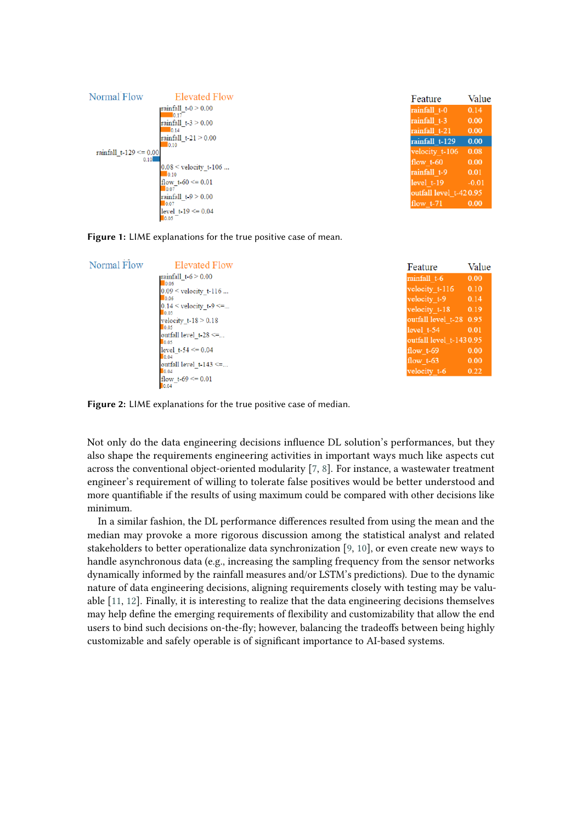| <b>Normal Flow</b>        | <b>Elevated Flow</b>                    | Feature                | Value   |
|---------------------------|-----------------------------------------|------------------------|---------|
|                           | $\text{trainfall}$ t-0 $> 0.00$<br>0.17 | rainfall t-0           | 0.14    |
|                           | rainfall $t-3 > 0.00$                   | rainfall t-3           | 0.00    |
|                           | 10.14                                   | rainfall t-21          | 0.00    |
|                           | rainfall $t - 21 > 0.00$<br>0.10        | rainfall t-129         | 0.00    |
| rainfall $t-129 \le 0.00$ |                                         | velocity t-106         | 0.08    |
| 0.10                      | $0.08 \le$ velocity t 106               | flow $t-60$            | 0.00    |
|                           | 0.10                                    | rainfall t-9           | 0.01    |
|                           | flow $t-60 \le 0.01$                    | level t-19             | $-0.01$ |
|                           | 0.07<br>rainfall $t - 9 > 0.00$         | outfall level t-420.95 |         |
|                           | 0.07                                    | flow $t-71$            | 0.00    |
|                           | level $t-19 \le 0.04$                   |                        |         |
|                           | $\vert$ 0.05                            |                        |         |



<span id="page-4-0"></span>

| <b>Normal Flow</b> | <b>Elevated Flow</b>                              | Feature                 | Value |
|--------------------|---------------------------------------------------|-------------------------|-------|
|                    | rainfall $t-6 > 0.00$<br>0.06                     | rainfall t-6            | 0.00  |
|                    | $0.09 \le$ velocity t-116                         | velocity t-116          | 0.10  |
|                    | 0.06                                              | velocity t-9            | 0.14  |
|                    | $0.14 \le$ velocity t-9 $\le$<br>0.05             | velocity t-18           | 0.19  |
|                    | velocity $t - 18 > 0.18$                          | outfall level_t-28 0.95 |       |
|                    | 0.05                                              | level $t-54$            | 0.01  |
|                    | outfall level $t-28 \leq $<br>$\blacksquare$ 0.05 | outfall level t-1430.95 |       |
|                    | level $t-54 \le 0.04$                             | flow $t-69$             | 0.00  |
|                    | $\blacksquare$ 0.04<br>outfall level t-143 <=     | flow $t-63$             | 0.00  |
|                    | 0.04                                              | velocity_t-6            | 0.22  |
|                    | flow $t-69 \le 0.01$<br>$\blacksquare$ 0.04       |                         |       |

<span id="page-4-1"></span>**Figure 2:** LIME explanations for the true positive case of median.

Not only do the data engineering decisions influence DL solution's performances, but they also shape the requirements engineering activities in important ways much like aspects cut across the conventional object-oriented modularity [\[7,](#page-5-6) [8\]](#page-5-7). For instance, a wastewater treatment engineer's requirement of willing to tolerate false positives would be better understood and more quantifiable if the results of using maximum could be compared with other decisions like minimum.

In a similar fashion, the DL performance differences resulted from using the mean and the median may provoke a more rigorous discussion among the statistical analyst and related stakeholders to better operationalize data synchronization [\[9,](#page-5-8) [10\]](#page-5-9), or even create new ways to handle asynchronous data (e.g., increasing the sampling frequency from the sensor networks dynamically informed by the rainfall measures and/or LSTM's predictions). Due to the dynamic nature of data engineering decisions, aligning requirements closely with testing may be valuable [\[11,](#page-5-10) [12\]](#page-5-11). Finally, it is interesting to realize that the data engineering decisions themselves may help define the emerging requirements of flexibility and customizability that allow the end users to bind such decisions on-the-fly; however, balancing the tradeoffs between being highly customizable and safely operable is of significant importance to AI-based systems.